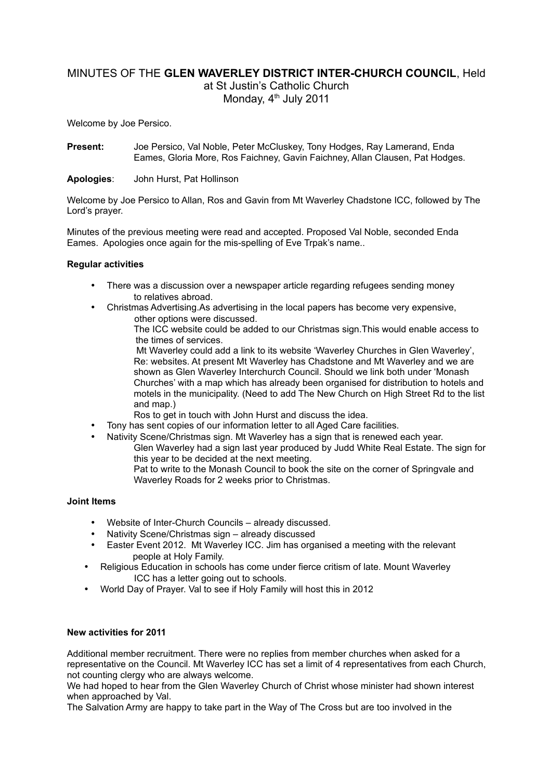# MINUTES OF THE **GLEN WAVERLEY DISTRICT INTER-CHURCH COUNCIL**, Held at St Justin's Catholic Church Monday, 4<sup>th</sup> July 2011

Welcome by Joe Persico.

**Present:** Joe Persico, Val Noble, Peter McCluskey, Tony Hodges, Ray Lamerand, Enda Eames, Gloria More, Ros Faichney, Gavin Faichney, Allan Clausen, Pat Hodges.

### **Apologies**: John Hurst, Pat Hollinson

Welcome by Joe Persico to Allan, Ros and Gavin from Mt Waverley Chadstone ICC, followed by The Lord's prayer.

Minutes of the previous meeting were read and accepted. Proposed Val Noble, seconded Enda Eames. Apologies once again for the mis-spelling of Eve Trpak's name..

### **Regular activities**

- There was a discussion over a newspaper article regarding refugees sending money to relatives abroad.
- Christmas Advertising.As advertising in the local papers has become very expensive, other options were discussed.

The ICC website could be added to our Christmas sign.This would enable access to the times of services.

 Mt Waverley could add a link to its website 'Waverley Churches in Glen Waverley', Re: websites. At present Mt Waverley has Chadstone and Mt Waverley and we are shown as Glen Waverley Interchurch Council. Should we link both under 'Monash Churches' with a map which has already been organised for distribution to hotels and motels in the municipality. (Need to add The New Church on High Street Rd to the list and map.)

Ros to get in touch with John Hurst and discuss the idea.

- Tony has sent copies of our information letter to all Aged Care facilities.
- Nativity Scene/Christmas sign. Mt Waverley has a sign that is renewed each year. Glen Waverley had a sign last year produced by Judd White Real Estate. The sign for this year to be decided at the next meeting. Pat to write to the Monash Council to book the site on the corner of Springvale and Waverley Roads for 2 weeks prior to Christmas.

### **Joint Items**

- Website of Inter-Church Councils already discussed.
- Nativity Scene/Christmas sign already discussed
- Easter Event 2012. Mt Waverley ICC. Jim has organised a meeting with the relevant people at Holy Family.
- Religious Education in schools has come under fierce critism of late. Mount Waverley ICC has a letter going out to schools.
- World Day of Prayer. Val to see if Holy Family will host this in 2012

## **New activities for 2011**

Additional member recruitment. There were no replies from member churches when asked for a representative on the Council. Mt Waverley ICC has set a limit of 4 representatives from each Church, not counting clergy who are always welcome.

We had hoped to hear from the Glen Waverley Church of Christ whose minister had shown interest when approached by Val.

The Salvation Army are happy to take part in the Way of The Cross but are too involved in the